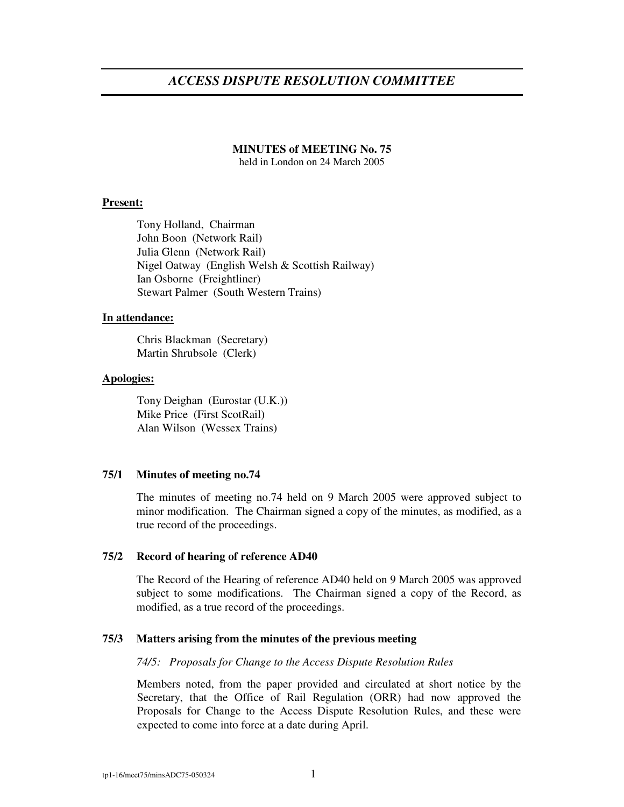# *ACCESS DISPUTE RESOLUTION COMMITTEE*

### **MINUTES of MEETING No. 75**

held in London on 24 March 2005

# **Present:**

Tony Holland, Chairman John Boon (Network Rail) Julia Glenn (Network Rail) Nigel Oatway (English Welsh & Scottish Railway) Ian Osborne (Freightliner) Stewart Palmer (South Western Trains)

### **In attendance:**

Chris Blackman (Secretary) Martin Shrubsole (Clerk)

# **Apologies:**

Tony Deighan (Eurostar (U.K.)) Mike Price (First ScotRail) Alan Wilson (Wessex Trains)

# **75/1 Minutes of meeting no.74**

The minutes of meeting no.74 held on 9 March 2005 were approved subject to minor modification. The Chairman signed a copy of the minutes, as modified, as a true record of the proceedings.

### **75/2 Record of hearing of reference AD40**

The Record of the Hearing of reference AD40 held on 9 March 2005 was approved subject to some modifications. The Chairman signed a copy of the Record, as modified, as a true record of the proceedings.

# **75/3 Matters arising from the minutes of the previous meeting**

### *74/5: Proposals for Change to the Access Dispute Resolution Rules*

Members noted, from the paper provided and circulated at short notice by the Secretary, that the Office of Rail Regulation (ORR) had now approved the Proposals for Change to the Access Dispute Resolution Rules, and these were expected to come into force at a date during April.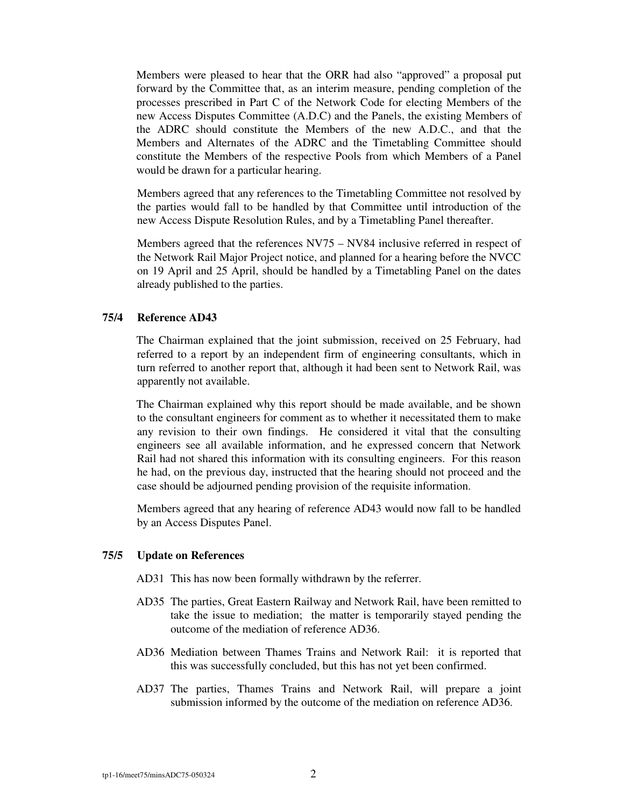Members were pleased to hear that the ORR had also "approved" a proposal put forward by the Committee that, as an interim measure, pending completion of the processes prescribed in Part C of the Network Code for electing Members of the new Access Disputes Committee (A.D.C) and the Panels, the existing Members of the ADRC should constitute the Members of the new A.D.C., and that the Members and Alternates of the ADRC and the Timetabling Committee should constitute the Members of the respective Pools from which Members of a Panel would be drawn for a particular hearing.

Members agreed that any references to the Timetabling Committee not resolved by the parties would fall to be handled by that Committee until introduction of the new Access Dispute Resolution Rules, and by a Timetabling Panel thereafter.

Members agreed that the references NV75 – NV84 inclusive referred in respect of the Network Rail Major Project notice, and planned for a hearing before the NVCC on 19 April and 25 April, should be handled by a Timetabling Panel on the dates already published to the parties.

# **75/4 Reference AD43**

The Chairman explained that the joint submission, received on 25 February, had referred to a report by an independent firm of engineering consultants, which in turn referred to another report that, although it had been sent to Network Rail, was apparently not available.

The Chairman explained why this report should be made available, and be shown to the consultant engineers for comment as to whether it necessitated them to make any revision to their own findings. He considered it vital that the consulting engineers see all available information, and he expressed concern that Network Rail had not shared this information with its consulting engineers. For this reason he had, on the previous day, instructed that the hearing should not proceed and the case should be adjourned pending provision of the requisite information.

Members agreed that any hearing of reference AD43 would now fall to be handled by an Access Disputes Panel.

### **75/5 Update on References**

- AD31 This has now been formally withdrawn by the referrer.
- AD35 The parties, Great Eastern Railway and Network Rail, have been remitted to take the issue to mediation; the matter is temporarily stayed pending the outcome of the mediation of reference AD36.
- AD36 Mediation between Thames Trains and Network Rail: it is reported that this was successfully concluded, but this has not yet been confirmed.
- AD37 The parties, Thames Trains and Network Rail, will prepare a joint submission informed by the outcome of the mediation on reference AD36.